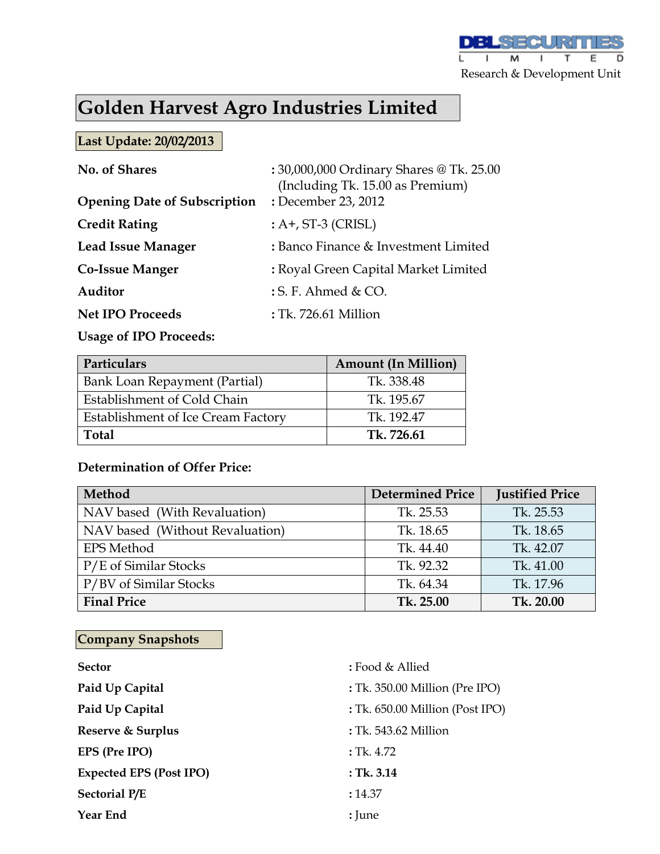

# **Golden Harvest Agro Industries Limited**

### **Last Update: 20/02/2013**

| No. of Shares<br><b>Opening Date of Subscription</b> | : 30,000,000 Ordinary Shares @ Tk. 25.00<br>(Including Tk. 15.00 as Premium)<br>: December 23, 2012 |
|------------------------------------------------------|-----------------------------------------------------------------------------------------------------|
| <b>Credit Rating</b>                                 | $: A+, ST-3$ (CRISL)                                                                                |
| <b>Lead Issue Manager</b>                            | : Banco Finance & Investment Limited                                                                |
| <b>Co-Issue Manger</b>                               | : Royal Green Capital Market Limited                                                                |
| Auditor                                              | $: S. F.$ Ahmed & CO.                                                                               |
| <b>Net IPO Proceeds</b>                              | : Tk. 726.61 Million                                                                                |
|                                                      |                                                                                                     |

### **Usage of IPO Proceeds:**

| Particulars                        | <b>Amount (In Million)</b> |  |  |  |
|------------------------------------|----------------------------|--|--|--|
| Bank Loan Repayment (Partial)      | Tk. 338.48                 |  |  |  |
| Establishment of Cold Chain        | Tk. 195.67                 |  |  |  |
| Establishment of Ice Cream Factory | Tk. 192.47                 |  |  |  |
| <b>Total</b>                       | Tk. 726.61                 |  |  |  |

### **Determination of Offer Price:**

| Method                          | <b>Determined Price</b> | <b>Justified Price</b> |
|---------------------------------|-------------------------|------------------------|
| NAV based (With Revaluation)    | Tk. 25.53               | Tk. 25.53              |
| NAV based (Without Revaluation) | Tk. 18.65               | Tk. 18.65              |
| <b>EPS Method</b>               | Tk. 44.40               | Tk. 42.07              |
| P/E of Similar Stocks           | Tk. 92.32               | Tk. 41.00              |
| P/BV of Similar Stocks          | Tk. 64.34               | Tk. 17.96              |
| <b>Final Price</b>              | Tk. 25.00               | Tk. 20.00              |

# **Company Snapshots**

| <b>Sector</b>                  | : Food & Allied                 |
|--------------------------------|---------------------------------|
| Paid Up Capital                | : Tk. 350.00 Million (Pre IPO)  |
| Paid Up Capital                | : Tk. 650.00 Million (Post IPO) |
| Reserve & Surplus              | : Tk. 543.62 Million            |
| EPS (Pre IPO)                  | $:$ Tk. 4.72                    |
| <b>Expected EPS (Post IPO)</b> | : Tk. 3.14                      |
| <b>Sectorial P/E</b>           | : 14.37                         |
| <b>Year End</b>                | : June                          |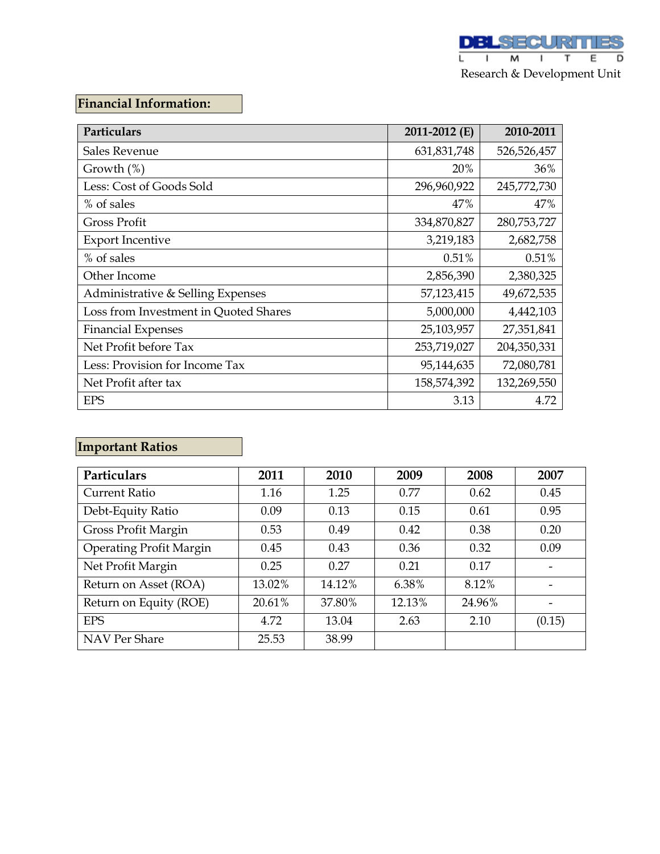# **Financial Information:**

| Particulars                           | 2011-2012 (E) | 2010-2011   |
|---------------------------------------|---------------|-------------|
| <b>Sales Revenue</b>                  | 631,831,748   | 526,526,457 |
| Growth $(\%)$                         | 20%           | 36%         |
| Less: Cost of Goods Sold              | 296,960,922   | 245,772,730 |
| % of sales                            | 47%           | 47%         |
| <b>Gross Profit</b>                   | 334,870,827   | 280,753,727 |
| <b>Export Incentive</b>               | 3,219,183     | 2,682,758   |
| % of sales                            | 0.51%         | 0.51%       |
| Other Income                          | 2,856,390     | 2,380,325   |
| Administrative & Selling Expenses     | 57,123,415    | 49,672,535  |
| Loss from Investment in Quoted Shares | 5,000,000     | 4,442,103   |
| <b>Financial Expenses</b>             | 25,103,957    | 27,351,841  |
| Net Profit before Tax                 | 253,719,027   | 204,350,331 |
| Less: Provision for Income Tax        | 95,144,635    | 72,080,781  |
| Net Profit after tax                  | 158,574,392   | 132,269,550 |
| <b>EPS</b>                            | 3.13          | 4.72        |

# **Important Ratios**

| Particulars                    | 2011   | 2010   | 2009   | 2008   | 2007   |
|--------------------------------|--------|--------|--------|--------|--------|
| Current Ratio                  | 1.16   | 1.25   | 0.77   | 0.62   | 0.45   |
| Debt-Equity Ratio              | 0.09   | 0.13   | 0.15   | 0.61   | 0.95   |
| Gross Profit Margin            | 0.53   | 0.49   | 0.42   | 0.38   | 0.20   |
| <b>Operating Profit Margin</b> | 0.45   | 0.43   | 0.36   | 0.32   | 0.09   |
| Net Profit Margin              | 0.25   | 0.27   | 0.21   | 0.17   | -      |
| Return on Asset (ROA)          | 13.02% | 14.12% | 6.38%  | 8.12%  |        |
| Return on Equity (ROE)         | 20.61% | 37.80% | 12.13% | 24.96% |        |
| <b>EPS</b>                     | 4.72   | 13.04  | 2.63   | 2.10   | (0.15) |
| NAV Per Share                  | 25.53  | 38.99  |        |        |        |